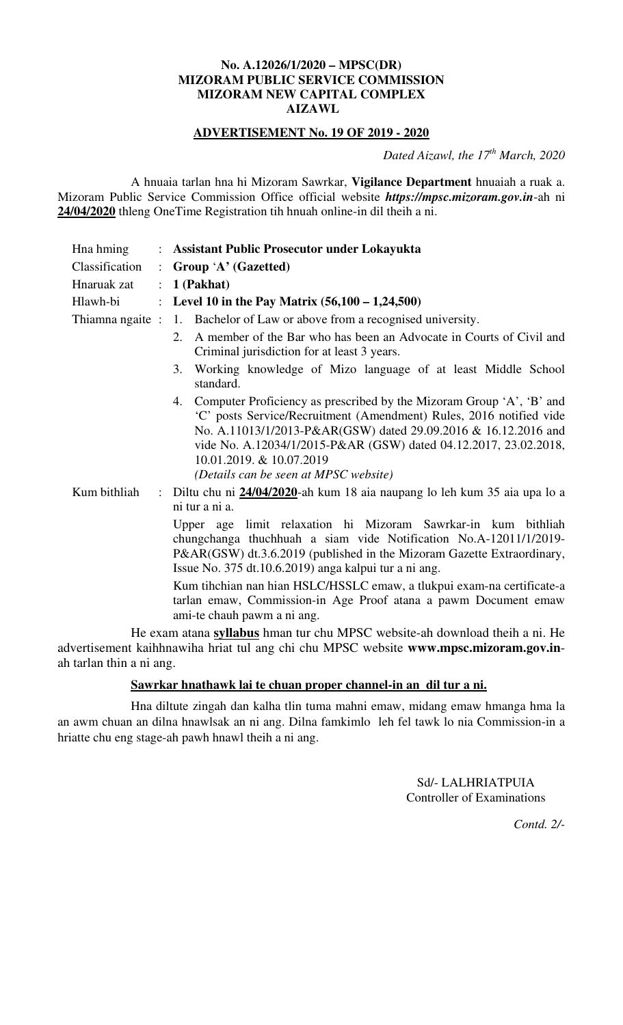## **No. A.12026/1/2020 – MPSC(DR) MIZORAM PUBLIC SERVICE COMMISSION MIZORAM NEW CAPITAL COMPLEX AIZAWL**

## **ADVERTISEMENT No. 19 OF 2019 - 2020**

*Dated Aizawl, the 17th March, 2020*

 A hnuaia tarlan hna hi Mizoram Sawrkar, **Vigilance Department** hnuaiah a ruak a. Mizoram Public Service Commission Office official website *https://mpsc.mizoram.gov.in*-ah ni **24/04/2020** thleng OneTime Registration tih hnuah online-in dil theih a ni.

| Hna hming<br>Classification<br>Hnaruak zat<br>Hlawh-bi                      | $\ddot{\phantom{0}}$<br>$\ddot{\cdot}$<br>$\ddot{\phantom{0}}$ | : Assistant Public Prosecutor under Lokayukta<br>Group 'A' (Gazetted)<br>1 (Pakhat)<br>Level 10 in the Pay Matrix $(56,100 - 1,24,500)$                                                                                                                                                                                                                                                                                                                                                                                                                             |
|-----------------------------------------------------------------------------|----------------------------------------------------------------|---------------------------------------------------------------------------------------------------------------------------------------------------------------------------------------------------------------------------------------------------------------------------------------------------------------------------------------------------------------------------------------------------------------------------------------------------------------------------------------------------------------------------------------------------------------------|
| Thiamna ngaite:                                                             |                                                                | 1. Bachelor of Law or above from a recognised university.<br>A member of the Bar who has been an Advocate in Courts of Civil and<br>2.<br>Criminal jurisdiction for at least 3 years.<br>Working knowledge of Mizo language of at least Middle School<br>3.<br>standard.<br>Computer Proficiency as prescribed by the Mizoram Group 'A', 'B' and<br>4.<br>'C' posts Service/Recruitment (Amendment) Rules, 2016 notified vide<br>No. A.11013/1/2013-P&AR(GSW) dated 29.09.2016 & 16.12.2016 and<br>vide No. A.12034/1/2015-P&AR (GSW) dated 04.12.2017, 23.02.2018, |
| Kum bithliah                                                                |                                                                | 10.01.2019. & 10.07.2019<br>(Details can be seen at MPSC website)<br>: Diltu chu ni 24/04/2020-ah kum 18 aia naupang lo leh kum 35 aia upa lo a<br>ni tur a ni a.                                                                                                                                                                                                                                                                                                                                                                                                   |
|                                                                             |                                                                | Upper age limit relaxation hi Mizoram Sawrkar-in kum<br>bithliah<br>chungchanga thuchhuah a siam vide Notification No.A-12011/1/2019-<br>P&AR(GSW) dt.3.6.2019 (published in the Mizoram Gazette Extraordinary,<br>Issue No. 375 dt.10.6.2019) anga kalpui tur a ni ang.                                                                                                                                                                                                                                                                                            |
|                                                                             |                                                                | Kum tihchian nan hian HSLC/HSSLC emaw, a tlukpui exam-na certificate-a<br>tarlan emaw, Commission-in Age Proof atana a pawm Document emaw<br>ami-te chauh pawm a ni ang.                                                                                                                                                                                                                                                                                                                                                                                            |
| He exam atana syllabus hman tur chu MPSC website-ah download theih a ni. He |                                                                |                                                                                                                                                                                                                                                                                                                                                                                                                                                                                                                                                                     |

advertisement kaihhnawiha hriat tul ang chi chu MPSC website **www.mpsc.mizoram.gov.in**ah tarlan thin a ni ang.

## **Sawrkar hnathawk lai te chuan proper channel-in an dil tur a ni.**

 Hna diltute zingah dan kalha tlin tuma mahni emaw, midang emaw hmanga hma la an awm chuan an dilna hnawlsak an ni ang. Dilna famkimlo leh fel tawk lo nia Commission-in a hriatte chu eng stage-ah pawh hnawl theih a ni ang.

> Sd/- LALHRIATPUIA Controller of Examinations

> > *Contd. 2/-*